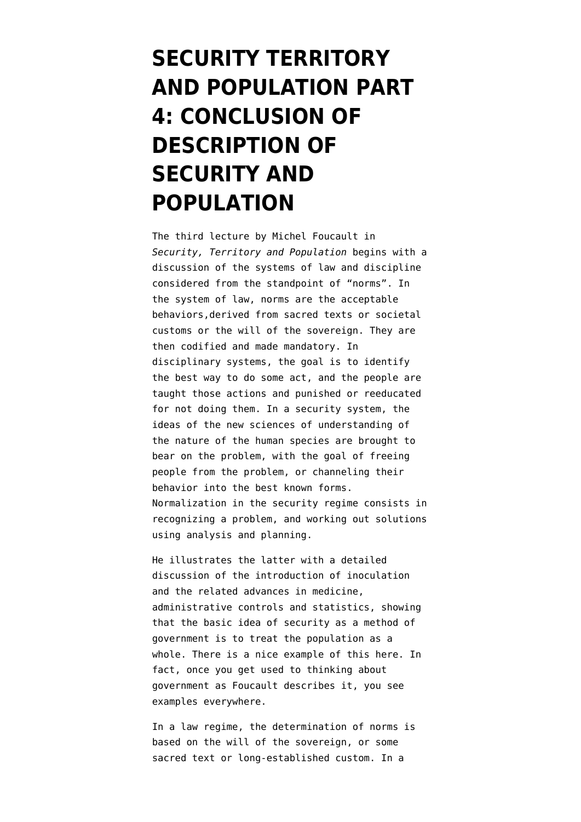## **[SECURITY TERRITORY](https://www.emptywheel.net/2016/08/13/security-territory-and-population-part-4-conclusion-of-description-of-security-and-population/) [AND POPULATION PART](https://www.emptywheel.net/2016/08/13/security-territory-and-population-part-4-conclusion-of-description-of-security-and-population/) [4: CONCLUSION OF](https://www.emptywheel.net/2016/08/13/security-territory-and-population-part-4-conclusion-of-description-of-security-and-population/) [DESCRIPTION OF](https://www.emptywheel.net/2016/08/13/security-territory-and-population-part-4-conclusion-of-description-of-security-and-population/) [SECURITY AND](https://www.emptywheel.net/2016/08/13/security-territory-and-population-part-4-conclusion-of-description-of-security-and-population/) [POPULATION](https://www.emptywheel.net/2016/08/13/security-territory-and-population-part-4-conclusion-of-description-of-security-and-population/)**

The third lecture by Michel Foucault in *Security, Territory and Population* begins with a discussion of the systems of law and discipline considered from the standpoint of "norms". In the system of law, norms are the acceptable behaviors,derived from sacred texts or societal customs or the will of the sovereign. They are then codified and made mandatory. In disciplinary systems, the goal is to identify the best way to do some act, and the people are taught those actions and punished or reeducated for not doing them. In a security system, the ideas of the new sciences of understanding of the nature of the human species are brought to bear on the problem, with the goal of freeing people from the problem, or channeling their behavior into the best known forms. Normalization in the security regime consists in recognizing a problem, and working out solutions using analysis and planning.

He illustrates the latter with a detailed discussion of the introduction of inoculation and the related advances in medicine, administrative controls and statistics, showing that the basic idea of security as a method of government is to treat the population as a whole. There is a nice example of this [here](http://www.nytimes.com/2016/08/13/health/polio-vaccination-africa-nigeria.html). In fact, once you get used to thinking about government as Foucault describes it, you see examples everywhere.

In a law regime, the determination of norms is based on the will of the sovereign, or some sacred text or long-established custom. In a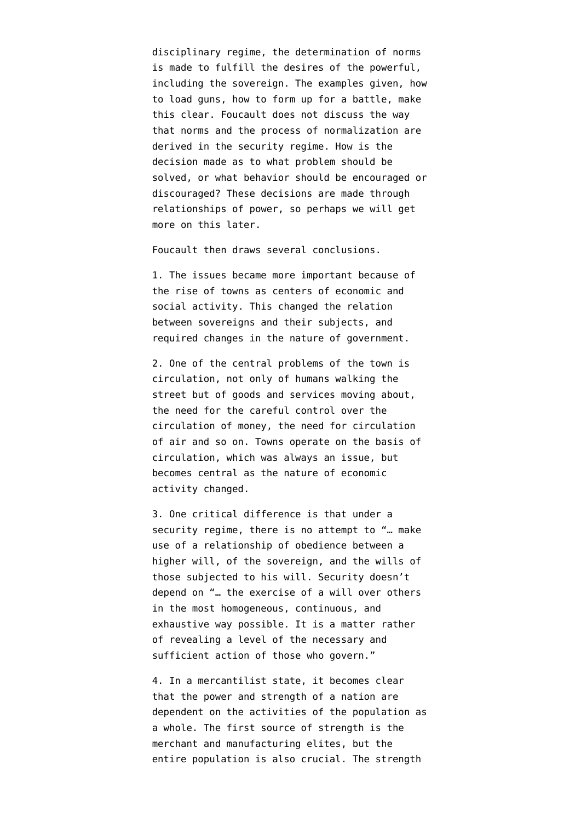disciplinary regime, the determination of norms is made to fulfill the desires of the powerful, including the sovereign. The examples given, how to load guns, how to form up for a battle, make this clear. Foucault does not discuss the way that norms and the process of normalization are derived in the security regime. How is the decision made as to what problem should be solved, or what behavior should be encouraged or discouraged? These decisions are made through relationships of power, so perhaps we will get more on this later.

Foucault then draws several conclusions.

1. The issues became more important because of the rise of towns as centers of economic and social activity. This changed the relation between sovereigns and their subjects, and required changes in the nature of government.

2. One of the central problems of the town is circulation, not only of humans walking the street but of goods and services moving about, the need for the careful control over the circulation of money, the need for circulation of air and so on. Towns operate on the basis of circulation, which was always an issue, but becomes central as the nature of economic activity changed.

3. One critical difference is that under a security regime, there is no attempt to "… make use of a relationship of obedience between a higher will, of the sovereign, and the wills of those subjected to his will. Security doesn't depend on "… the exercise of a will over others in the most homogeneous, continuous, and exhaustive way possible. It is a matter rather of revealing a level of the necessary and sufficient action of those who govern."

4. In a mercantilist state, it becomes clear that the power and strength of a nation are dependent on the activities of the population as a whole. The first source of strength is the merchant and manufacturing elites, but the entire population is also crucial. The strength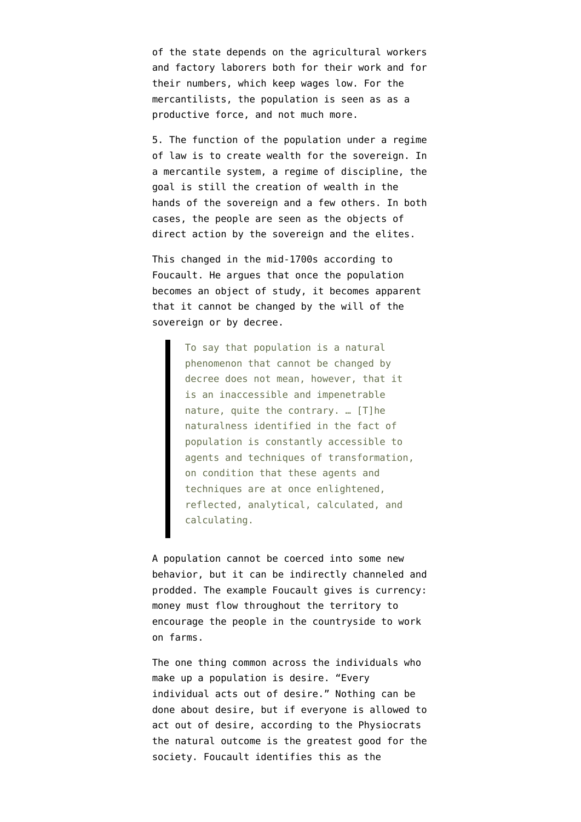of the state depends on the agricultural workers and factory laborers both for their work and for their numbers, which keep wages low. For the mercantilists, the population is seen as as a productive force, and not much more.

5. The function of the population under a regime of law is to create wealth for the sovereign. In a mercantile system, a regime of discipline, the goal is still the creation of wealth in the hands of the sovereign and a few others. In both cases, the people are seen as the objects of direct action by the sovereign and the elites.

This changed in the mid-1700s according to Foucault. He argues that once the population becomes an object of study, it becomes apparent that it cannot be changed by the will of the sovereign or by decree.

> To say that population is a natural phenomenon that cannot be changed by decree does not mean, however, that it is an inaccessible and impenetrable nature, quite the contrary. … [T]he naturalness identified in the fact of population is constantly accessible to agents and techniques of transformation, on condition that these agents and techniques are at once enlightened, reflected, analytical, calculated, and calculating.

A population cannot be coerced into some new behavior, but it can be indirectly channeled and prodded. The example Foucault gives is currency: money must flow throughout the territory to encourage the people in the countryside to work on farms.

The one thing common across the individuals who make up a population is desire. "Every individual acts out of desire." Nothing can be done about desire, but if everyone is allowed to act out of desire, according to the Physiocrats the natural outcome is the greatest good for the society. Foucault identifies this as the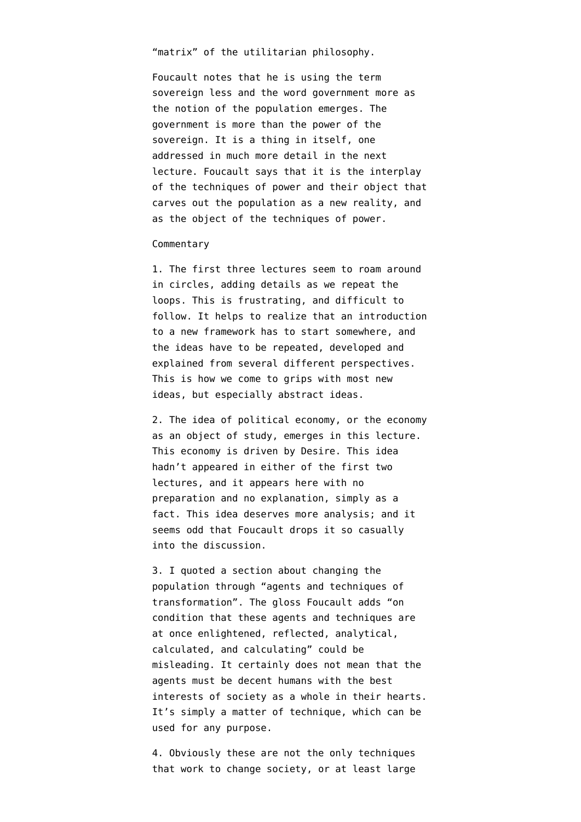"matrix" of the utilitarian philosophy.

Foucault notes that he is using the term sovereign less and the word government more as the notion of the population emerges. The government is more than the power of the sovereign. It is a thing in itself, one addressed in much more detail in the next lecture. Foucault says that it is the interplay of the techniques of power and their object that carves out the population as a new reality, and as the object of the techniques of power.

## **Commentary**

1. The first three lectures seem to roam around in circles, adding details as we repeat the loops. This is frustrating, and difficult to follow. It helps to realize that an introduction to a new framework has to start somewhere, and the ideas have to be repeated, developed and explained from several different perspectives. This is how we come to grips with most new ideas, but especially abstract ideas.

2. The idea of political economy, or the economy as an object of study, emerges in this lecture. This economy is driven by Desire. This idea hadn't appeared in either of the first two lectures, and it appears here with no preparation and no explanation, simply as a fact. This idea deserves more analysis; and it seems odd that Foucault drops it so casually into the discussion.

3. I quoted a section about changing the population through "agents and techniques of transformation". The gloss Foucault adds "on condition that these agents and techniques are at once enlightened, reflected, analytical, calculated, and calculating" could be misleading. It certainly does not mean that the agents must be decent humans with the best interests of society as a whole in their hearts. It's simply a matter of technique, which can be used for any purpose.

4. Obviously these are not the only techniques that work to change society, or at least large